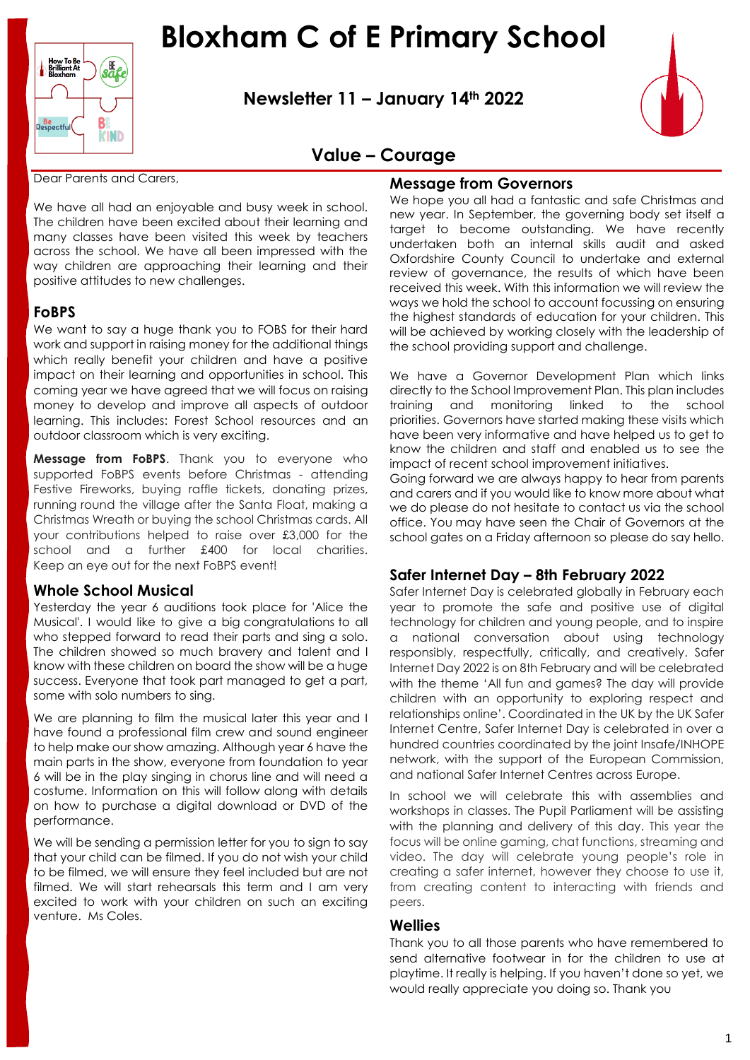

B **Be**<br>Respectfu KIND

**Newsletter 11 – January 14th 2022**



## **Value – Courage**

Dear Parents and Carers,

We have all had an enjoyable and busy week in school. The children have been excited about their learning and many classes have been visited this week by teachers across the school. We have all been impressed with the way children are approaching their learning and their positive attitudes to new challenges.

#### **FoBPS**

We want to say a huge thank you to FOBS for their hard work and support in raising money for the additional things which really benefit your children and have a positive impact on their learning and opportunities in school. This coming year we have agreed that we will focus on raising money to develop and improve all aspects of outdoor learning. This includes: Forest School resources and an outdoor classroom which is very exciting.

**Message from FoBPS**. Thank you to everyone who supported FoBPS events before Christmas - attending Festive Fireworks, buying raffle tickets, donating prizes, running round the village after the Santa Float, making a Christmas Wreath or buying the school Christmas cards. All your contributions helped to raise over £3,000 for the school and a further £400 for local charities. Keep an eye out for the next FoBPS event!

## **Whole School Musical**

Yesterday the year 6 auditions took place for 'Alice the Musical'. I would like to give a big congratulations to all who stepped forward to read their parts and sing a solo. The children showed so much bravery and talent and I know with these children on board the show will be a huge success. Everyone that took part managed to get a part, some with solo numbers to sing.

We are planning to film the musical later this year and I have found a professional film crew and sound engineer to help make our show amazing. Although year 6 have the main parts in the show, everyone from foundation to year 6 will be in the play singing in chorus line and will need a costume. Information on this will follow along with details on how to purchase a digital download or DVD of the performance.

We will be sending a permission letter for you to sign to say that your child can be filmed. If you do not wish your child to be filmed, we will ensure they feel included but are not filmed. We will start rehearsals this term and I am very excited to work with your children on such an exciting venture. Ms Coles.

#### **Message from Governors**

We hope you all had a fantastic and safe Christmas and new year. In September, the governing body set itself a target to become outstanding. We have recently undertaken both an internal skills audit and asked Oxfordshire County Council to undertake and external review of governance, the results of which have been received this week. With this information we will review the ways we hold the school to account focussing on ensuring the highest standards of education for your children. This will be achieved by working closely with the leadership of the school providing support and challenge.

We have a Governor Development Plan which links directly to the School Improvement Plan. This plan includes training and monitoring linked to the school priorities. Governors have started making these visits which have been very informative and have helped us to get to know the children and staff and enabled us to see the impact of recent school improvement initiatives.

Going forward we are always happy to hear from parents and carers and if you would like to know more about what we do please do not hesitate to contact us via the school office. You may have seen the Chair of Governors at the school gates on a Friday afternoon so please do say hello.

## **Safer Internet Day – 8th February 2022**

Safer Internet Day is celebrated globally in February each year to promote the safe and positive use of digital technology for children and young people, and to inspire a national conversation about using technology responsibly, respectfully, critically, and creatively. Safer Internet Day 2022 is on 8th February and will be celebrated with the theme 'All fun and games? The day will provide children with an opportunity to exploring respect and relationships online'. Coordinated in the UK by the UK Safer Internet Centre, Safer Internet Day is celebrated in over a hundred countries coordinated by the joint Insafe/INHOPE network, with the support of the European Commission, and national Safer Internet Centres across Europe.

In school we will celebrate this with assemblies and workshops in classes. The Pupil Parliament will be assisting with the planning and delivery of this day. This year the focus will be online gaming, chat functions, streaming and video. The day will celebrate young people's role in creating a safer internet, however they choose to use it, from creating content to interacting with friends and peers.

#### **Wellies**

Thank you to all those parents who have remembered to send alternative footwear in for the children to use at playtime. It really is helping. If you haven't done so yet, we would really appreciate you doing so. Thank you